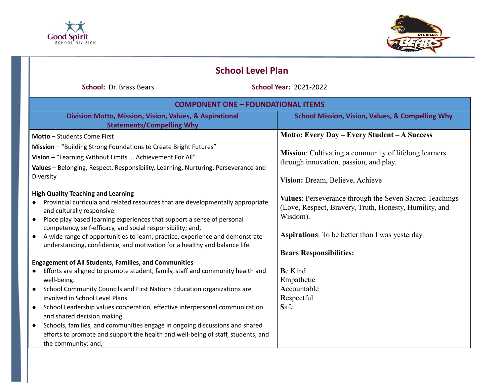



| <b>School Level Plan</b>                                                                                                                                                                                                                                                                                                                                                                                                                                                     |                                                                                                                                                                                                                           |  |
|------------------------------------------------------------------------------------------------------------------------------------------------------------------------------------------------------------------------------------------------------------------------------------------------------------------------------------------------------------------------------------------------------------------------------------------------------------------------------|---------------------------------------------------------------------------------------------------------------------------------------------------------------------------------------------------------------------------|--|
| <b>School: Dr. Brass Bears</b>                                                                                                                                                                                                                                                                                                                                                                                                                                               | <b>School Year: 2021-2022</b>                                                                                                                                                                                             |  |
| <b>COMPONENT ONE - FOUNDATIONAL ITEMS</b>                                                                                                                                                                                                                                                                                                                                                                                                                                    |                                                                                                                                                                                                                           |  |
| Division Motto, Mission, Vision, Values, & Aspirational<br><b>Statements/Compelling Why</b>                                                                                                                                                                                                                                                                                                                                                                                  | <b>School Mission, Vision, Values, &amp; Compelling Why</b>                                                                                                                                                               |  |
| <b>Motto</b> - Students Come First                                                                                                                                                                                                                                                                                                                                                                                                                                           | Motto: Every Day - Every Student - A Success                                                                                                                                                                              |  |
| Mission - "Building Strong Foundations to Create Bright Futures"<br>Vision - "Learning Without Limits  Achievement For All"<br>Values - Belonging, Respect, Responsibility, Learning, Nurturing, Perseverance and<br>Diversity                                                                                                                                                                                                                                               | Mission: Cultivating a community of lifelong learners<br>through innovation, passion, and play.<br>Vision: Dream, Believe, Achieve                                                                                        |  |
| <b>High Quality Teaching and Learning</b><br>Provincial curricula and related resources that are developmentally appropriate<br>and culturally responsive.<br>Place play based learning experiences that support a sense of personal<br>$\bullet$<br>competency, self-efficacy, and social responsibility; and,<br>A wide range of opportunities to learn, practice, experience and demonstrate<br>understanding, confidence, and motivation for a healthy and balance life. | Values: Perseverance through the Seven Sacred Teachings<br>(Love, Respect, Bravery, Truth, Honesty, Humility, and<br>Wisdom).<br><b>Aspirations:</b> To be better than I was yesterday.<br><b>Bears Responsibilities:</b> |  |
| <b>Engagement of All Students, Families, and Communities</b>                                                                                                                                                                                                                                                                                                                                                                                                                 |                                                                                                                                                                                                                           |  |
| Efforts are aligned to promote student, family, staff and community health and<br>well-being.                                                                                                                                                                                                                                                                                                                                                                                | <b>Be Kind</b><br>Empathetic                                                                                                                                                                                              |  |
| School Community Councils and First Nations Education organizations are<br>$\bullet$                                                                                                                                                                                                                                                                                                                                                                                         | Accountable                                                                                                                                                                                                               |  |
| involved in School Level Plans.<br>School Leadership values cooperation, effective interpersonal communication<br>and shared decision making.                                                                                                                                                                                                                                                                                                                                | Respectful<br>Safe                                                                                                                                                                                                        |  |
| Schools, families, and communities engage in ongoing discussions and shared<br>efforts to promote and support the health and well-being of staff, students, and<br>the community; and,                                                                                                                                                                                                                                                                                       |                                                                                                                                                                                                                           |  |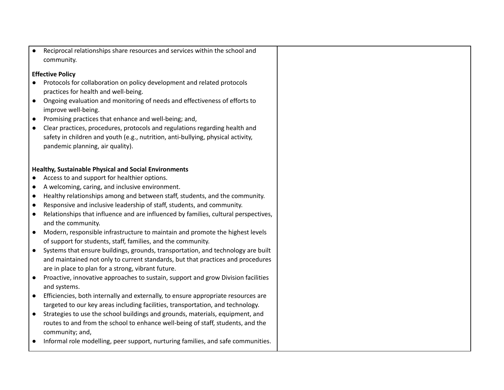Reciprocal relationships share resources and services within the school and community.

### **Effective Policy**

- Protocols for collaboration on policy development and related protocols practices for health and well-being.
- Ongoing evaluation and monitoring of needs and effectiveness of efforts to improve well-being.
- Promising practices that enhance and well-being; and,
- Clear practices, procedures, protocols and regulations regarding health and safety in children and youth (e.g., nutrition, anti-bullying, physical activity, pandemic planning, air quality).

### **Healthy, Sustainable Physical and Social Environments**

- Access to and support for healthier options.
- A welcoming, caring, and inclusive environment.
- Healthy relationships among and between staff, students, and the community.
- Responsive and inclusive leadership of staff, students, and community.
- Relationships that influence and are influenced by families, cultural perspectives, and the community.
- Modern, responsible infrastructure to maintain and promote the highest levels of support for students, staff, families, and the community.
- Systems that ensure buildings, grounds, transportation, and technology are built and maintained not only to current standards, but that practices and procedures are in place to plan for a strong, vibrant future.
- Proactive, innovative approaches to sustain, support and grow Division facilities and systems.
- Efficiencies, both internally and externally, to ensure appropriate resources are targeted to our key areas including facilities, transportation, and technology.
- Strategies to use the school buildings and grounds, materials, equipment, and routes to and from the school to enhance well-being of staff, students, and the community; and,
- Informal role modelling, peer support, nurturing families, and safe communities.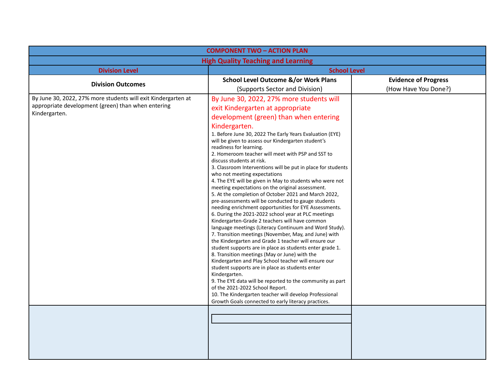| <b>COMPONENT TWO - ACTION PLAN</b>                                                                                                   |                                                                                                                                                                                                                                                                                                                                                                                                                                                                                                                                                                                                                                                                                                                                                                                                                                                                                                                                                                                                                                                                                                                                                                                                                                                                                                                                                                                                                                                                                                              |                             |
|--------------------------------------------------------------------------------------------------------------------------------------|--------------------------------------------------------------------------------------------------------------------------------------------------------------------------------------------------------------------------------------------------------------------------------------------------------------------------------------------------------------------------------------------------------------------------------------------------------------------------------------------------------------------------------------------------------------------------------------------------------------------------------------------------------------------------------------------------------------------------------------------------------------------------------------------------------------------------------------------------------------------------------------------------------------------------------------------------------------------------------------------------------------------------------------------------------------------------------------------------------------------------------------------------------------------------------------------------------------------------------------------------------------------------------------------------------------------------------------------------------------------------------------------------------------------------------------------------------------------------------------------------------------|-----------------------------|
| <b>High Quality Teaching and Learning</b>                                                                                            |                                                                                                                                                                                                                                                                                                                                                                                                                                                                                                                                                                                                                                                                                                                                                                                                                                                                                                                                                                                                                                                                                                                                                                                                                                                                                                                                                                                                                                                                                                              |                             |
| <b>Division Level</b>                                                                                                                | <b>School Level</b>                                                                                                                                                                                                                                                                                                                                                                                                                                                                                                                                                                                                                                                                                                                                                                                                                                                                                                                                                                                                                                                                                                                                                                                                                                                                                                                                                                                                                                                                                          |                             |
| <b>Division Outcomes</b>                                                                                                             | <b>School Level Outcome &amp;/or Work Plans</b>                                                                                                                                                                                                                                                                                                                                                                                                                                                                                                                                                                                                                                                                                                                                                                                                                                                                                                                                                                                                                                                                                                                                                                                                                                                                                                                                                                                                                                                              | <b>Evidence of Progress</b> |
|                                                                                                                                      | (Supports Sector and Division)                                                                                                                                                                                                                                                                                                                                                                                                                                                                                                                                                                                                                                                                                                                                                                                                                                                                                                                                                                                                                                                                                                                                                                                                                                                                                                                                                                                                                                                                               | (How Have You Done?)        |
| By June 30, 2022, 27% more students will exit Kindergarten at<br>appropriate development (green) than when entering<br>Kindergarten. | By June 30, 2022, 27% more students will<br>exit Kindergarten at appropriate<br>development (green) than when entering<br>Kindergarten.<br>1. Before June 30, 2022 The Early Years Evaluation (EYE)<br>will be given to assess our Kindergarten student's<br>readiness for learning.<br>2. Homeroom teacher will meet with PSP and SST to<br>discuss students at risk.<br>3. Classroom Interventions will be put in place for students<br>who not meeting expectations<br>4. The EYE will be given in May to students who were not<br>meeting expectations on the original assessment.<br>5. At the completion of October 2021 and March 2022,<br>pre-assessments will be conducted to gauge students<br>needing enrichment opportunities for EYE Assessments.<br>6. During the 2021-2022 school year at PLC meetings<br>Kindergarten-Grade 2 teachers will have common<br>language meetings (Literacy Continuum and Word Study).<br>7. Transition meetings (November, May, and June) with<br>the Kindergarten and Grade 1 teacher will ensure our<br>student supports are in place as students enter grade 1.<br>8. Transition meetings (May or June) with the<br>Kindergarten and Play School teacher will ensure our<br>student supports are in place as students enter<br>Kindergarten.<br>9. The EYE data will be reported to the community as part<br>of the 2021-2022 School Report.<br>10. The Kindergarten teacher will develop Professional<br>Growth Goals connected to early literacy practices. |                             |
|                                                                                                                                      |                                                                                                                                                                                                                                                                                                                                                                                                                                                                                                                                                                                                                                                                                                                                                                                                                                                                                                                                                                                                                                                                                                                                                                                                                                                                                                                                                                                                                                                                                                              |                             |
|                                                                                                                                      |                                                                                                                                                                                                                                                                                                                                                                                                                                                                                                                                                                                                                                                                                                                                                                                                                                                                                                                                                                                                                                                                                                                                                                                                                                                                                                                                                                                                                                                                                                              |                             |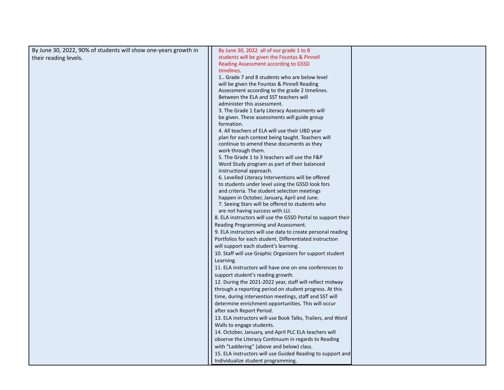| By June 30, 2022, 90% of students will show one-years growth in | By June 30, 2022 all of our grade 1 to 8                                                       |  |
|-----------------------------------------------------------------|------------------------------------------------------------------------------------------------|--|
| their reading levels.                                           | students will be given the Fountas & Pinnell                                                   |  |
|                                                                 | Reading Assessment according to GSSD                                                           |  |
|                                                                 | timelines.                                                                                     |  |
|                                                                 | 1. Grade 7 and 8 students who are below level                                                  |  |
|                                                                 | will be given the Fountas & Pinnell Reading                                                    |  |
|                                                                 | Assessment according to the grade 2 timelines.                                                 |  |
|                                                                 | Between the ELA and SST teachers will                                                          |  |
|                                                                 | administer this assessment.                                                                    |  |
|                                                                 | 3. The Grade 1 Early Literacy Assessments will                                                 |  |
|                                                                 | be given. These assessments will guide group                                                   |  |
|                                                                 | formation.                                                                                     |  |
|                                                                 | 4. All teachers of ELA will use their UBD year                                                 |  |
|                                                                 | plan for each context being taught. Teachers will<br>continue to amend these documents as they |  |
|                                                                 | work through them.                                                                             |  |
|                                                                 | 5. The Grade 1 to 3 teachers will use the F&P                                                  |  |
|                                                                 | Word Study program as part of their balanced                                                   |  |
|                                                                 | instructional approach.                                                                        |  |
|                                                                 | 6. Levelled Literacy Interventions will be offered                                             |  |
|                                                                 | to students under level using the GSSD look fors                                               |  |
|                                                                 | and criteria. The student selection meetings                                                   |  |
|                                                                 | happen in October, January, April and June.                                                    |  |
|                                                                 | 7. Seeing Stars will be offered to students who                                                |  |
|                                                                 | are not having success with LLI.                                                               |  |
|                                                                 | 8. ELA instructors will use the GSSD Portal to support their                                   |  |
|                                                                 | Reading Programming and Assessment.                                                            |  |
|                                                                 | 9. ELA instructors will use data to create personal reading                                    |  |
|                                                                 | Portfolios for each student. Differentiated instruction                                        |  |
|                                                                 | will support each student's learning.                                                          |  |
|                                                                 | 10. Staff will use Graphic Organizers for support student                                      |  |
|                                                                 | Learning.                                                                                      |  |
|                                                                 | 11. ELA instructors will have one on one conferences to                                        |  |
|                                                                 | support student's reading growth.                                                              |  |
|                                                                 | 12. During the 2021-2022 year, staff will reflect midway                                       |  |
|                                                                 | through a reporting period on student progress. At this                                        |  |
|                                                                 | time, during intervention meetings, staff and SST will                                         |  |
|                                                                 | determine enrichment opportunities. This will occur                                            |  |
|                                                                 | after each Report Period.                                                                      |  |
|                                                                 | 13. ELA instructors will use Book Talks, Trailers, and Word                                    |  |
|                                                                 | Walls to engage students.                                                                      |  |
|                                                                 | 14. October, January, and April PLC ELA teachers will                                          |  |
|                                                                 | observe the Literacy Continuum in regards to Reading                                           |  |
|                                                                 | with "Laddering" (above and below) class.                                                      |  |
|                                                                 | 15. ELA instructors will use Guided Reading to support and                                     |  |
|                                                                 | Individualize student programming.                                                             |  |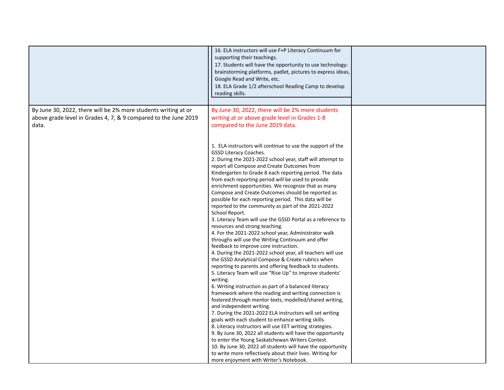|                                                                                                                                            | 16. ELA instructors will use F+P Literacy Continuum for<br>supporting their teachings.<br>17. Students will have the opportunity to use technology:<br>brainstorming platforms, padlet, pictures to express ideas,<br>Google Read and Write, etc.<br>18. ELA Grade 1/2 afterschool Reading Camp to develop<br>reading skills.                                                                                                                                                                                                                                                                                                                                                                                                                                                                                                                                                                                                                                                                                                       |  |
|--------------------------------------------------------------------------------------------------------------------------------------------|-------------------------------------------------------------------------------------------------------------------------------------------------------------------------------------------------------------------------------------------------------------------------------------------------------------------------------------------------------------------------------------------------------------------------------------------------------------------------------------------------------------------------------------------------------------------------------------------------------------------------------------------------------------------------------------------------------------------------------------------------------------------------------------------------------------------------------------------------------------------------------------------------------------------------------------------------------------------------------------------------------------------------------------|--|
| By June 30, 2022, there will be 2% more students writing at or<br>above grade level in Grades 4, 7, & 9 compared to the June 2019<br>data. | By June 30, 2022, there will be 2% more students<br>writing at or above grade level in Grades 1-8<br>compared to the June 2019 data.<br>1. ELA instructors will continue to use the support of the<br><b>GSSD Literacy Coaches.</b><br>2. During the 2021-2022 school year, staff will attempt to<br>report all Compose and Create Outcomes from<br>Kindergarten to Grade 8 each reporting period. The data<br>from each reporting period will be used to provide<br>enrichment opportunities. We recognize that as many<br>Compose and Create Outcomes should be reported as<br>possible for each reporting period. This data will be<br>reported to the community as part of the 2021-2022<br>School Report.<br>3. Literacy Team will use the GSSD Portal as a reference to<br>resources and strong teaching.<br>4. For the 2021-2022 school year, Administrator walk<br>throughs will use the Writing Continuum and offer<br>feedback to improve core instruction.<br>4. During the 2021-2022 school year, all teachers will use |  |
|                                                                                                                                            | the GSSD Analytical Compose & Create rubrics when<br>reporting to parents and offering feedback to students.<br>5. Literacy Team will use "Rise Up" to improve students'<br>writing.<br>6. Writing instruction as part of a balanced literacy<br>framework where the reading and writing connection is<br>fostered through mentor texts, modelled/shared writing,<br>and independent writing.<br>7. During the 2021-2022 ELA instructors will set writing<br>goals with each student to enhance writing skills.<br>8. Literacy instructors will use EET writing strategies.<br>9. By June 30, 2022 all students will have the opportunity<br>to enter the Young Saskatchewan Writers Contest.<br>10. By June 30, 2022 all students will have the opportunity<br>to write more reflectively about their lives. Writing for<br>more enjoyment with Writer's Notebook.                                                                                                                                                                 |  |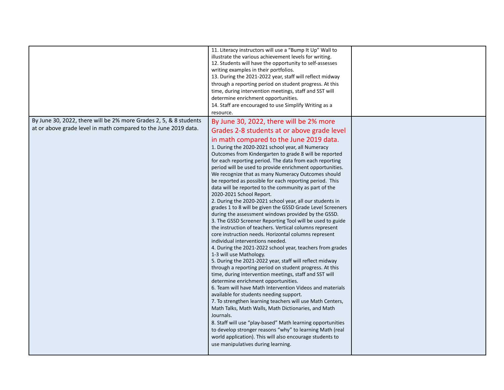|                                                                                                                                      | 11. Literacy instructors will use a "Bump It Up" Wall to<br>illustrate the various achievement levels for writing.<br>12. Students will have the opportunity to self-assesses<br>writing examples in their portfolios.<br>13. During the 2021-2022 year, staff will reflect midway<br>through a reporting period on student progress. At this<br>time, during intervention meetings, staff and SST will<br>determine enrichment opportunities.<br>14. Staff are encouraged to use Simplify Writing as a<br>resource.                                                                                                                                                                                                                                                                                                                                                                                                                                                                                                                                                                                                                                                                                                                                                                                                                                                                                                                                                                                                                                                                                                                                                                                                                                                  |  |
|--------------------------------------------------------------------------------------------------------------------------------------|-----------------------------------------------------------------------------------------------------------------------------------------------------------------------------------------------------------------------------------------------------------------------------------------------------------------------------------------------------------------------------------------------------------------------------------------------------------------------------------------------------------------------------------------------------------------------------------------------------------------------------------------------------------------------------------------------------------------------------------------------------------------------------------------------------------------------------------------------------------------------------------------------------------------------------------------------------------------------------------------------------------------------------------------------------------------------------------------------------------------------------------------------------------------------------------------------------------------------------------------------------------------------------------------------------------------------------------------------------------------------------------------------------------------------------------------------------------------------------------------------------------------------------------------------------------------------------------------------------------------------------------------------------------------------------------------------------------------------------------------------------------------------|--|
| By June 30, 2022, there will be 2% more Grades 2, 5, & 8 students<br>at or above grade level in math compared to the June 2019 data. | By June 30, 2022, there will be 2% more<br>Grades 2-8 students at or above grade level<br>in math compared to the June 2019 data.<br>1. During the 2020-2021 school year, all Numeracy<br>Outcomes from Kindergarten to grade 8 will be reported<br>for each reporting period. The data from each reporting<br>period will be used to provide enrichment opportunities.<br>We recognize that as many Numeracy Outcomes should<br>be reported as possible for each reporting period. This<br>data will be reported to the community as part of the<br>2020-2021 School Report.<br>2. During the 2020-2021 school year, all our students in<br>grades 1 to 8 will be given the GSSD Grade Level Screeners<br>during the assessment windows provided by the GSSD.<br>3. The GSSD Screener Reporting Tool will be used to guide<br>the instruction of teachers. Vertical columns represent<br>core instruction needs. Horizontal columns represent<br>individual interventions needed.<br>4. During the 2021-2022 school year, teachers from grades<br>1-3 will use Mathology.<br>5. During the 2021-2022 year, staff will reflect midway<br>through a reporting period on student progress. At this<br>time, during intervention meetings, staff and SST will<br>determine enrichment opportunities.<br>6. Team will have Math Intervention Videos and materials<br>available for students needing support.<br>7. To strengthen learning teachers will use Math Centers,<br>Math Talks, Math Walls, Math Dictionaries, and Math<br>Journals.<br>8. Staff will use "play-based" Math learning opportunities<br>to develop stronger reasons "why" to learning Math (real<br>world application). This will also encourage students to<br>use manipulatives during learning. |  |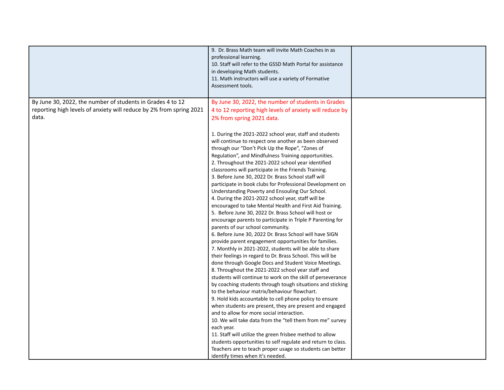|                                                                     | 9. Dr. Brass Math team will invite Math Coaches in as<br>professional learning.<br>10. Staff will refer to the GSSD Math Portal for assistance<br>in developing Math students.<br>11. Math instructors will use a variety of Formative<br>Assessment tools.                                                                                                                                                                                                                                                                                                                                                                                                                                                                                                                                                                                                                                                                                                                                                                                                                                                                                                                                                                                                                                                                                                                                                                                                                                                                                                                                                                                                                                                                                                                 |  |
|---------------------------------------------------------------------|-----------------------------------------------------------------------------------------------------------------------------------------------------------------------------------------------------------------------------------------------------------------------------------------------------------------------------------------------------------------------------------------------------------------------------------------------------------------------------------------------------------------------------------------------------------------------------------------------------------------------------------------------------------------------------------------------------------------------------------------------------------------------------------------------------------------------------------------------------------------------------------------------------------------------------------------------------------------------------------------------------------------------------------------------------------------------------------------------------------------------------------------------------------------------------------------------------------------------------------------------------------------------------------------------------------------------------------------------------------------------------------------------------------------------------------------------------------------------------------------------------------------------------------------------------------------------------------------------------------------------------------------------------------------------------------------------------------------------------------------------------------------------------|--|
| By June 30, 2022, the number of students in Grades 4 to 12          | By June 30, 2022, the number of students in Grades                                                                                                                                                                                                                                                                                                                                                                                                                                                                                                                                                                                                                                                                                                                                                                                                                                                                                                                                                                                                                                                                                                                                                                                                                                                                                                                                                                                                                                                                                                                                                                                                                                                                                                                          |  |
| reporting high levels of anxiety will reduce by 2% from spring 2021 | 4 to 12 reporting high levels of anxiety will reduce by                                                                                                                                                                                                                                                                                                                                                                                                                                                                                                                                                                                                                                                                                                                                                                                                                                                                                                                                                                                                                                                                                                                                                                                                                                                                                                                                                                                                                                                                                                                                                                                                                                                                                                                     |  |
| data.                                                               | 2% from spring 2021 data.                                                                                                                                                                                                                                                                                                                                                                                                                                                                                                                                                                                                                                                                                                                                                                                                                                                                                                                                                                                                                                                                                                                                                                                                                                                                                                                                                                                                                                                                                                                                                                                                                                                                                                                                                   |  |
|                                                                     |                                                                                                                                                                                                                                                                                                                                                                                                                                                                                                                                                                                                                                                                                                                                                                                                                                                                                                                                                                                                                                                                                                                                                                                                                                                                                                                                                                                                                                                                                                                                                                                                                                                                                                                                                                             |  |
|                                                                     | 1. During the 2021-2022 school year, staff and students<br>will continue to respect one another as been observed<br>through our "Don't Pick Up the Rope", "Zones of<br>Regulation", and Mindfulness Training opportunities.<br>2. Throughout the 2021-2022 school year identified<br>classrooms will participate in the Friends Training.<br>3. Before June 30, 2022 Dr. Brass School staff will<br>participate in book clubs for Professional Development on<br>Understanding Poverty and Ensouling Our School.<br>4. During the 2021-2022 school year, staff will be<br>encouraged to take Mental Health and First Aid Training.<br>5. Before June 30, 2022 Dr. Brass School will host or<br>encourage parents to participate in Triple P Parenting for<br>parents of our school community.<br>6. Before June 30, 2022 Dr. Brass School will have SIGN<br>provide parent engagement opportunities for families.<br>7. Monthly in 2021-2022, students will be able to share<br>their feelings in regard to Dr. Brass School. This will be<br>done through Google Docs and Student Voice Meetings.<br>8. Throughout the 2021-2022 school year staff and<br>students will continue to work on the skill of perseverance<br>by coaching students through tough situations and sticking<br>to the behaviour matrix/behaviour flowchart.<br>9. Hold kids accountable to cell phone policy to ensure<br>when students are present, they are present and engaged<br>and to allow for more social interaction.<br>10. We will take data from the "tell them from me" survey<br>each year.<br>11. Staff will utilize the green frisbee method to allow<br>students opportunities to self regulate and return to class.<br>Teachers are to teach proper usage so students can better |  |
|                                                                     | identify times when it's needed.                                                                                                                                                                                                                                                                                                                                                                                                                                                                                                                                                                                                                                                                                                                                                                                                                                                                                                                                                                                                                                                                                                                                                                                                                                                                                                                                                                                                                                                                                                                                                                                                                                                                                                                                            |  |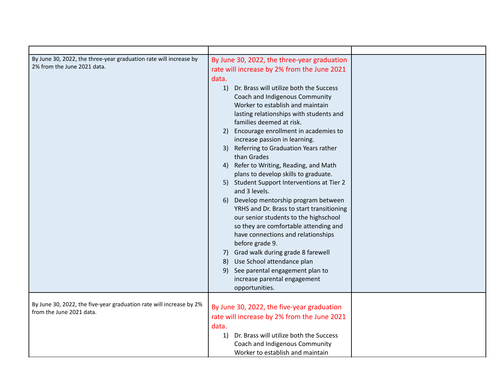| By June 30, 2022, the three-year graduation rate will increase by<br>2% from the June 2021 data. | By June 30, 2022, the three-year graduation<br>rate will increase by 2% from the June 2021<br>data.<br>Dr. Brass will utilize both the Success<br>1)<br>Coach and Indigenous Community<br>Worker to establish and maintain<br>lasting relationships with students and<br>families deemed at risk.<br>Encourage enrollment in academies to<br>2)<br>increase passion in learning.<br>Referring to Graduation Years rather<br>3)<br>than Grades<br>Refer to Writing, Reading, and Math<br>4)<br>plans to develop skills to graduate.<br>5) Student Support Interventions at Tier 2<br>and 3 levels.<br>Develop mentorship program between<br>6)<br>YRHS and Dr. Brass to start transitioning<br>our senior students to the highschool<br>so they are comfortable attending and<br>have connections and relationships<br>before grade 9.<br>7) Grad walk during grade 8 farewell<br>8) Use School attendance plan<br>See parental engagement plan to<br>9)<br>increase parental engagement<br>opportunities. |  |
|--------------------------------------------------------------------------------------------------|-----------------------------------------------------------------------------------------------------------------------------------------------------------------------------------------------------------------------------------------------------------------------------------------------------------------------------------------------------------------------------------------------------------------------------------------------------------------------------------------------------------------------------------------------------------------------------------------------------------------------------------------------------------------------------------------------------------------------------------------------------------------------------------------------------------------------------------------------------------------------------------------------------------------------------------------------------------------------------------------------------------|--|
| By June 30, 2022, the five-year graduation rate will increase by 2%<br>from the June 2021 data.  | By June 30, 2022, the five-year graduation<br>rate will increase by 2% from the June 2021<br>data.<br>Dr. Brass will utilize both the Success<br>1)<br>Coach and Indigenous Community<br>Worker to establish and maintain                                                                                                                                                                                                                                                                                                                                                                                                                                                                                                                                                                                                                                                                                                                                                                                 |  |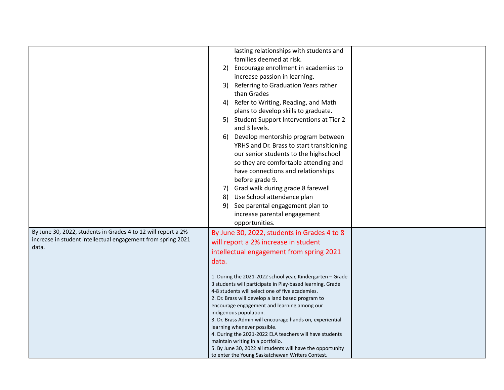|                                                               | lasting relationships with students and                                                |
|---------------------------------------------------------------|----------------------------------------------------------------------------------------|
|                                                               | families deemed at risk.                                                               |
|                                                               | Encourage enrollment in academies to<br>2)                                             |
|                                                               |                                                                                        |
|                                                               | increase passion in learning.                                                          |
|                                                               | Referring to Graduation Years rather<br>3)                                             |
|                                                               | than Grades                                                                            |
|                                                               | Refer to Writing, Reading, and Math<br>4)                                              |
|                                                               | plans to develop skills to graduate.                                                   |
|                                                               | Student Support Interventions at Tier 2<br>5)                                          |
|                                                               | and 3 levels.                                                                          |
|                                                               | Develop mentorship program between<br>6)                                               |
|                                                               | YRHS and Dr. Brass to start transitioning                                              |
|                                                               | our senior students to the highschool                                                  |
|                                                               | so they are comfortable attending and                                                  |
|                                                               | have connections and relationships                                                     |
|                                                               | before grade 9.                                                                        |
|                                                               | Grad walk during grade 8 farewell<br>7)                                                |
|                                                               | Use School attendance plan<br>8)                                                       |
|                                                               | See parental engagement plan to<br>9)                                                  |
|                                                               | increase parental engagement                                                           |
|                                                               | opportunities.                                                                         |
| By June 30, 2022, students in Grades 4 to 12 will report a 2% | By June 30, 2022, students in Grades 4 to 8                                            |
| increase in student intellectual engagement from spring 2021  | will report a 2% increase in student                                                   |
| data.                                                         | intellectual engagement from spring 2021                                               |
|                                                               |                                                                                        |
|                                                               | data.                                                                                  |
|                                                               | 1. During the 2021-2022 school year, Kindergarten - Grade                              |
|                                                               | 3 students will participate in Play-based learning. Grade                              |
|                                                               | 4-8 students will select one of five academies.                                        |
|                                                               | 2. Dr. Brass will develop a land based program to                                      |
|                                                               | encourage engagement and learning among our                                            |
|                                                               | indigenous population.                                                                 |
|                                                               | 3. Dr. Brass Admin will encourage hands on, experiential                               |
|                                                               | learning whenever possible.<br>4. During the 2021-2022 ELA teachers will have students |
|                                                               | maintain writing in a portfolio.                                                       |
|                                                               | 5. By June 30, 2022 all students will have the opportunity                             |
|                                                               | to enter the Young Saskatchewan Writers Contest.                                       |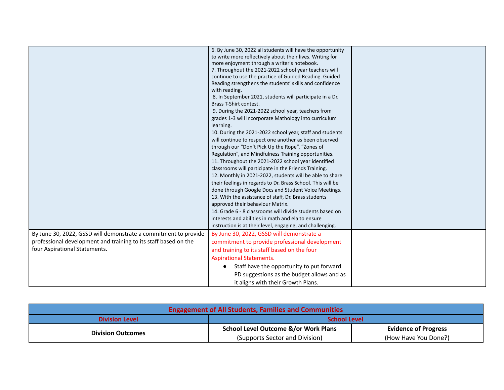|                                                                 | 6. By June 30, 2022 all students will have the opportunity<br>to write more reflectively about their lives. Writing for<br>more enjoyment through a writer's notebook.<br>7. Throughout the 2021-2022 school year teachers will<br>continue to use the practice of Guided Reading. Guided<br>Reading strengthens the students' skills and confidence<br>with reading.<br>8. In September 2021, students will participate in a Dr.<br>Brass T-Shirt contest.<br>9. During the 2021-2022 school year, teachers from<br>grades 1-3 will incorporate Mathology into curriculum<br>learning.<br>10. During the 2021-2022 school year, staff and students<br>will continue to respect one another as been observed<br>through our "Don't Pick Up the Rope", "Zones of<br>Regulation", and Mindfulness Training opportunities.<br>11. Throughout the 2021-2022 school year identified<br>classrooms will participate in the Friends Training.<br>12. Monthly in 2021-2022, students will be able to share<br>their feelings in regards to Dr. Brass School. This will be<br>done through Google Docs and Student Voice Meetings.<br>13. With the assistance of staff, Dr. Brass students<br>approved their behaviour Matrix.<br>14. Grade 6 - 8 classrooms will divide students based on<br>interests and abilities in math and ela to ensure<br>instruction is at their level, engaging, and challenging. |  |
|-----------------------------------------------------------------|-----------------------------------------------------------------------------------------------------------------------------------------------------------------------------------------------------------------------------------------------------------------------------------------------------------------------------------------------------------------------------------------------------------------------------------------------------------------------------------------------------------------------------------------------------------------------------------------------------------------------------------------------------------------------------------------------------------------------------------------------------------------------------------------------------------------------------------------------------------------------------------------------------------------------------------------------------------------------------------------------------------------------------------------------------------------------------------------------------------------------------------------------------------------------------------------------------------------------------------------------------------------------------------------------------------------------------------------------------------------------------------------------------|--|
| By June 30, 2022, GSSD will demonstrate a commitment to provide | By June 30, 2022, GSSD will demonstrate a                                                                                                                                                                                                                                                                                                                                                                                                                                                                                                                                                                                                                                                                                                                                                                                                                                                                                                                                                                                                                                                                                                                                                                                                                                                                                                                                                           |  |
| professional development and training to its staff based on the | commitment to provide professional development                                                                                                                                                                                                                                                                                                                                                                                                                                                                                                                                                                                                                                                                                                                                                                                                                                                                                                                                                                                                                                                                                                                                                                                                                                                                                                                                                      |  |
| four Aspirational Statements.                                   | and training to its staff based on the four                                                                                                                                                                                                                                                                                                                                                                                                                                                                                                                                                                                                                                                                                                                                                                                                                                                                                                                                                                                                                                                                                                                                                                                                                                                                                                                                                         |  |
|                                                                 | <b>Aspirational Statements.</b>                                                                                                                                                                                                                                                                                                                                                                                                                                                                                                                                                                                                                                                                                                                                                                                                                                                                                                                                                                                                                                                                                                                                                                                                                                                                                                                                                                     |  |
|                                                                 | Staff have the opportunity to put forward                                                                                                                                                                                                                                                                                                                                                                                                                                                                                                                                                                                                                                                                                                                                                                                                                                                                                                                                                                                                                                                                                                                                                                                                                                                                                                                                                           |  |
|                                                                 |                                                                                                                                                                                                                                                                                                                                                                                                                                                                                                                                                                                                                                                                                                                                                                                                                                                                                                                                                                                                                                                                                                                                                                                                                                                                                                                                                                                                     |  |
|                                                                 | PD suggestions as the budget allows and as                                                                                                                                                                                                                                                                                                                                                                                                                                                                                                                                                                                                                                                                                                                                                                                                                                                                                                                                                                                                                                                                                                                                                                                                                                                                                                                                                          |  |
|                                                                 | it aligns with their Growth Plans.                                                                                                                                                                                                                                                                                                                                                                                                                                                                                                                                                                                                                                                                                                                                                                                                                                                                                                                                                                                                                                                                                                                                                                                                                                                                                                                                                                  |  |

| <b>Engagement of All Students, Families and Communities</b> |                                                 |                             |
|-------------------------------------------------------------|-------------------------------------------------|-----------------------------|
| <b>Division Level</b>                                       | <b>School Level</b>                             |                             |
| <b>Division Outcomes</b>                                    | <b>School Level Outcome &amp;/or Work Plans</b> | <b>Evidence of Progress</b> |
|                                                             | (Supports Sector and Division)                  | (How Have You Done?)        |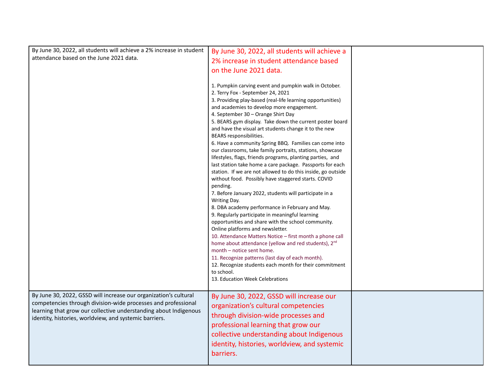| By June 30, 2022, all students will achieve a 2% increase in student | By June 30, 2022, all students will achieve a                                                                           |  |
|----------------------------------------------------------------------|-------------------------------------------------------------------------------------------------------------------------|--|
| attendance based on the June 2021 data.                              |                                                                                                                         |  |
|                                                                      | 2% increase in student attendance based                                                                                 |  |
|                                                                      | on the June 2021 data.                                                                                                  |  |
|                                                                      |                                                                                                                         |  |
|                                                                      | 1. Pumpkin carving event and pumpkin walk in October.                                                                   |  |
|                                                                      | 2. Terry Fox - September 24, 2021                                                                                       |  |
|                                                                      | 3. Providing play-based (real-life learning opportunities)                                                              |  |
|                                                                      | and academies to develop more engagement.                                                                               |  |
|                                                                      | 4. September 30 - Orange Shirt Day                                                                                      |  |
|                                                                      | 5. BEARS gym display. Take down the current poster board                                                                |  |
|                                                                      | and have the visual art students change it to the new                                                                   |  |
|                                                                      | BEARS responsibilities.                                                                                                 |  |
|                                                                      | 6. Have a community Spring BBQ. Families can come into                                                                  |  |
|                                                                      | our classrooms, take family portraits, stations, showcase<br>lifestyles, flags, friends programs, planting parties, and |  |
|                                                                      | last station take home a care package. Passports for each                                                               |  |
|                                                                      | station. If we are not allowed to do this inside, go outside                                                            |  |
|                                                                      | without food. Possibly have staggered starts. COVID                                                                     |  |
|                                                                      | pending.                                                                                                                |  |
|                                                                      | 7. Before January 2022, students will participate in a                                                                  |  |
|                                                                      | Writing Day.                                                                                                            |  |
|                                                                      | 8. DBA academy performance in February and May.                                                                         |  |
|                                                                      | 9. Regularly participate in meaningful learning                                                                         |  |
|                                                                      | opportunities and share with the school community.                                                                      |  |
|                                                                      | Online platforms and newsletter.                                                                                        |  |
|                                                                      | 10. Attendance Matters Notice - first month a phone call                                                                |  |
|                                                                      | home about attendance (yellow and red students), 2 <sup>nd</sup><br>month - notice sent home.                           |  |
|                                                                      | 11. Recognize patterns (last day of each month).                                                                        |  |
|                                                                      | 12. Recognize students each month for their commitment                                                                  |  |
|                                                                      | to school.                                                                                                              |  |
|                                                                      | 13. Education Week Celebrations                                                                                         |  |
|                                                                      |                                                                                                                         |  |
| By June 30, 2022, GSSD will increase our organization's cultural     | By June 30, 2022, GSSD will increase our                                                                                |  |
| competencies through division-wide processes and professional        | organization's cultural competencies                                                                                    |  |
| learning that grow our collective understanding about Indigenous     |                                                                                                                         |  |
| identity, histories, worldview, and systemic barriers.               | through division-wide processes and                                                                                     |  |
|                                                                      | professional learning that grow our                                                                                     |  |
|                                                                      | collective understanding about Indigenous                                                                               |  |
|                                                                      | identity, histories, worldview, and systemic                                                                            |  |
|                                                                      |                                                                                                                         |  |
|                                                                      | barriers.                                                                                                               |  |
|                                                                      |                                                                                                                         |  |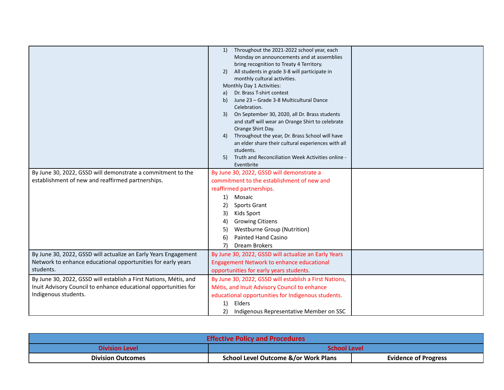|                                                                   | Throughout the 2021-2022 school year, each<br>1)                                      |
|-------------------------------------------------------------------|---------------------------------------------------------------------------------------|
|                                                                   | Monday on announcements and at assemblies<br>bring recognition to Treaty 4 Territory. |
|                                                                   | All students in grade 3-8 will participate in<br>2)                                   |
|                                                                   | monthly cultural activities.                                                          |
|                                                                   | Monthly Day 1 Activities:                                                             |
|                                                                   | Dr. Brass T-shirt contest<br>a)                                                       |
|                                                                   | June 23 - Grade 3-8 Multicultural Dance<br>b)                                         |
|                                                                   | Celebration.                                                                          |
|                                                                   | On September 30, 2020, all Dr. Brass students<br>3)                                   |
|                                                                   | and staff will wear an Orange Shirt to celebrate                                      |
|                                                                   | Orange Shirt Day.                                                                     |
|                                                                   | Throughout the year, Dr. Brass School will have<br>4)                                 |
|                                                                   | an elder share their cultural experiences with all                                    |
|                                                                   | students.                                                                             |
|                                                                   | Truth and Reconciliation Week Activities online -<br>5)                               |
|                                                                   | Eventbrite                                                                            |
| By June 30, 2022, GSSD will demonstrate a commitment to the       | By June 30, 2022, GSSD will demonstrate a                                             |
| establishment of new and reaffirmed partnerships.                 | commitment to the establishment of new and                                            |
|                                                                   | reaffirmed partnerships.                                                              |
|                                                                   | 1)<br>Mosaic                                                                          |
|                                                                   | 2)<br><b>Sports Grant</b>                                                             |
|                                                                   | Kids Sport<br>3)                                                                      |
|                                                                   | <b>Growing Citizens</b><br>4)                                                         |
|                                                                   | <b>Westburne Group (Nutrition)</b><br>5)                                              |
|                                                                   | Painted Hand Casino<br>6)                                                             |
|                                                                   | Dream Brokers<br>7)                                                                   |
| By June 30, 2022, GSSD will actualize an Early Years Engagement   | By June 30, 2022, GSSD will actualize an Early Years                                  |
| Network to enhance educational opportunities for early years      | Engagement Network to enhance educational                                             |
| students.                                                         | opportunities for early years students.                                               |
|                                                                   |                                                                                       |
| By June 30, 2022, GSSD will establish a First Nations, Métis, and | By June 30, 2022, GSSD will establish a First Nations,                                |
| Inuit Advisory Council to enhance educational opportunities for   | Métis, and Inuit Advisory Council to enhance                                          |
| Indigenous students.                                              | educational opportunities for Indigenous students.                                    |
|                                                                   | Elders<br>1)                                                                          |
|                                                                   | 2)<br>Indigenous Representative Member on SSC                                         |

| <b>Effective Policy and Procedures</b> |                                                 |                             |  |
|----------------------------------------|-------------------------------------------------|-----------------------------|--|
| <b>Division Level</b>                  | <b>School Level</b>                             |                             |  |
| <b>Division Outcomes</b>               | <b>School Level Outcome &amp;/or Work Plans</b> | <b>Evidence of Progress</b> |  |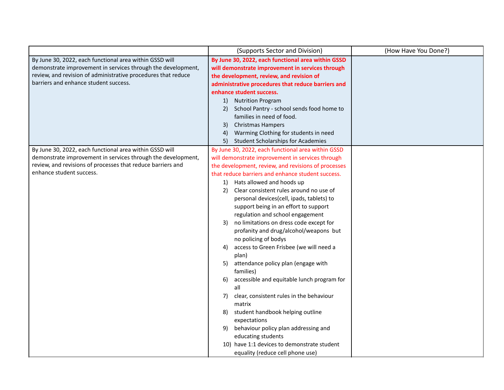|                                                               | (Supports Sector and Division)                      | (How Have You Done?) |
|---------------------------------------------------------------|-----------------------------------------------------|----------------------|
| By June 30, 2022, each functional area within GSSD will       | By June 30, 2022, each functional area within GSSD  |                      |
| demonstrate improvement in services through the development,  | will demonstrate improvement in services through    |                      |
| review, and revision of administrative procedures that reduce | the development, review, and revision of            |                      |
| barriers and enhance student success.                         | administrative procedures that reduce barriers and  |                      |
|                                                               | enhance student success.                            |                      |
|                                                               | 1)<br><b>Nutrition Program</b>                      |                      |
|                                                               | School Pantry - school sends food home to<br>2)     |                      |
|                                                               | families in need of food.                           |                      |
|                                                               | Christmas Hampers<br>3)                             |                      |
|                                                               | Warming Clothing for students in need<br>4)         |                      |
|                                                               | 5)<br><b>Student Scholarships for Academies</b>     |                      |
| By June 30, 2022, each functional area within GSSD will       | By June 30, 2022, each functional area within GSSD  |                      |
| demonstrate improvement in services through the development,  | will demonstrate improvement in services through    |                      |
| review, and revisions of processes that reduce barriers and   | the development, review, and revisions of processes |                      |
| enhance student success.                                      | that reduce barriers and enhance student success.   |                      |
|                                                               | Hats allowed and hoods up<br>1)                     |                      |
|                                                               | Clear consistent rules around no use of<br>2)       |                      |
|                                                               | personal devices(cell, ipads, tablets) to           |                      |
|                                                               | support being in an effort to support               |                      |
|                                                               | regulation and school engagement                    |                      |
|                                                               | no limitations on dress code except for<br>3)       |                      |
|                                                               | profanity and drug/alcohol/weapons but              |                      |
|                                                               | no policing of bodys                                |                      |
|                                                               | access to Green Frisbee (we will need a<br>4)       |                      |
|                                                               | plan)                                               |                      |
|                                                               | attendance policy plan (engage with<br>5)           |                      |
|                                                               | families)                                           |                      |
|                                                               | accessible and equitable lunch program for<br>6)    |                      |
|                                                               | all                                                 |                      |
|                                                               | 7)<br>clear, consistent rules in the behaviour      |                      |
|                                                               | matrix                                              |                      |
|                                                               | student handbook helping outline<br>8)              |                      |
|                                                               | expectations                                        |                      |
|                                                               | behaviour policy plan addressing and<br>9)          |                      |
|                                                               | educating students                                  |                      |
|                                                               | 10) have 1:1 devices to demonstrate student         |                      |
|                                                               | equality (reduce cell phone use)                    |                      |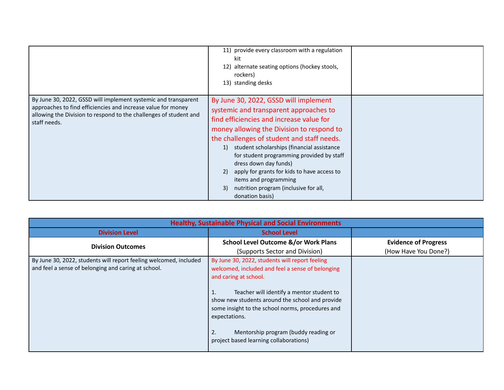|                                                                                                                                                                                                                     | 11) provide every classroom with a regulation<br>kit<br>alternate seating options (hockey stools,<br>12)<br>rockers)<br>13) standing desks                                                                                                                                                                                                                                                                                                                                                       |  |
|---------------------------------------------------------------------------------------------------------------------------------------------------------------------------------------------------------------------|--------------------------------------------------------------------------------------------------------------------------------------------------------------------------------------------------------------------------------------------------------------------------------------------------------------------------------------------------------------------------------------------------------------------------------------------------------------------------------------------------|--|
| By June 30, 2022, GSSD will implement systemic and transparent<br>approaches to find efficiencies and increase value for money<br>allowing the Division to respond to the challenges of student and<br>staff needs. | By June 30, 2022, GSSD will implement<br>systemic and transparent approaches to<br>find efficiencies and increase value for<br>money allowing the Division to respond to<br>the challenges of student and staff needs.<br>student scholarships (financial assistance<br>1)<br>for student programming provided by staff<br>dress down day funds)<br>apply for grants for kids to have access to<br>2)<br>items and programming<br>nutrition program (inclusive for all,<br>3)<br>donation basis) |  |

| <b>Healthy, Sustainable Physical and Social Environments</b>                                                             |                                                                                                                                                                                                                                                                                                                                                                                                |                             |  |
|--------------------------------------------------------------------------------------------------------------------------|------------------------------------------------------------------------------------------------------------------------------------------------------------------------------------------------------------------------------------------------------------------------------------------------------------------------------------------------------------------------------------------------|-----------------------------|--|
| <b>Division Level</b>                                                                                                    | <b>School Level</b>                                                                                                                                                                                                                                                                                                                                                                            |                             |  |
| <b>Division Outcomes</b>                                                                                                 | <b>School Level Outcome &amp;/or Work Plans</b>                                                                                                                                                                                                                                                                                                                                                | <b>Evidence of Progress</b> |  |
|                                                                                                                          | (Supports Sector and Division)                                                                                                                                                                                                                                                                                                                                                                 | (How Have You Done?)        |  |
| By June 30, 2022, students will report feeling welcomed, included<br>and feel a sense of belonging and caring at school. | By June 30, 2022, students will report feeling<br>welcomed, included and feel a sense of belonging<br>and caring at school.<br>Teacher will identify a mentor student to<br>1.<br>show new students around the school and provide<br>some insight to the school norms, procedures and<br>expectations.<br>2.<br>Mentorship program (buddy reading or<br>project based learning collaborations) |                             |  |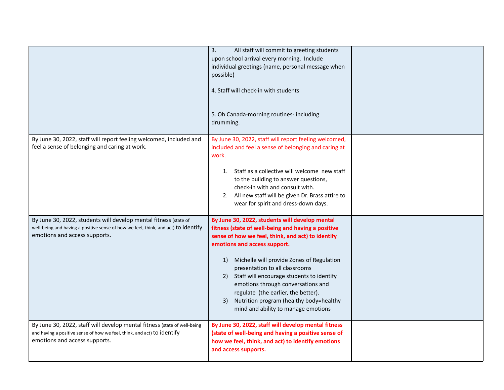|                                                                                                                                                                                         | 3.<br>All staff will commit to greeting students<br>upon school arrival every morning. Include<br>individual greetings (name, personal message when<br>possible)<br>4. Staff will check-in with students<br>5. Oh Canada-morning routines- including<br>drumming.                                                                                                                                                                                                                                |  |
|-----------------------------------------------------------------------------------------------------------------------------------------------------------------------------------------|--------------------------------------------------------------------------------------------------------------------------------------------------------------------------------------------------------------------------------------------------------------------------------------------------------------------------------------------------------------------------------------------------------------------------------------------------------------------------------------------------|--|
| By June 30, 2022, staff will report feeling welcomed, included and<br>feel a sense of belonging and caring at work.                                                                     | By June 30, 2022, staff will report feeling welcomed,<br>included and feel a sense of belonging and caring at<br>work.<br>1. Staff as a collective will welcome new staff<br>to the building to answer questions,<br>check-in with and consult with.<br>2. All new staff will be given Dr. Brass attire to<br>wear for spirit and dress-down days.                                                                                                                                               |  |
| By June 30, 2022, students will develop mental fitness (state of<br>well-being and having a positive sense of how we feel, think, and act) to identify<br>emotions and access supports. | By June 30, 2022, students will develop mental<br>fitness (state of well-being and having a positive<br>sense of how we feel, think, and act) to identify<br>emotions and access support.<br>1) Michelle will provide Zones of Regulation<br>presentation to all classrooms<br>2) Staff will encourage students to identify<br>emotions through conversations and<br>regulate (the earlier, the better).<br>Nutrition program (healthy body=healthy<br>3)<br>mind and ability to manage emotions |  |
| By June 30, 2022, staff will develop mental fitness (state of well-being<br>and having a positive sense of how we feel, think, and act) to identify<br>emotions and access supports.    | By June 30, 2022, staff will develop mental fitness<br>(state of well-being and having a positive sense of<br>how we feel, think, and act) to identify emotions<br>and access supports.                                                                                                                                                                                                                                                                                                          |  |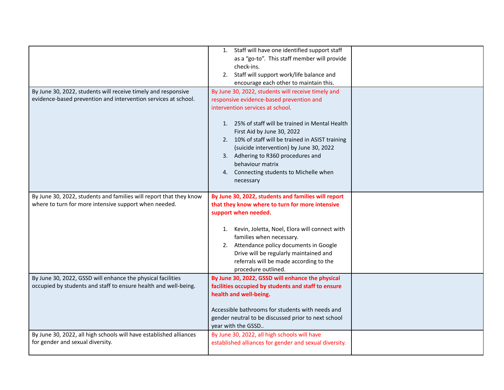|                                                                    | 1. Staff will have one identified support staff        |  |
|--------------------------------------------------------------------|--------------------------------------------------------|--|
|                                                                    | as a "go-to". This staff member will provide           |  |
|                                                                    | check-ins.                                             |  |
|                                                                    | 2. Staff will support work/life balance and            |  |
|                                                                    | encourage each other to maintain this.                 |  |
| By June 30, 2022, students will receive timely and responsive      | By June 30, 2022, students will receive timely and     |  |
| evidence-based prevention and intervention services at school.     | responsive evidence-based prevention and               |  |
|                                                                    | intervention services at school.                       |  |
|                                                                    |                                                        |  |
|                                                                    | 1. 25% of staff will be trained in Mental Health       |  |
|                                                                    | First Aid by June 30, 2022                             |  |
|                                                                    | 2. 10% of staff will be trained in ASIST training      |  |
|                                                                    | (suicide intervention) by June 30, 2022                |  |
|                                                                    | 3. Adhering to R360 procedures and                     |  |
|                                                                    | behaviour matrix                                       |  |
|                                                                    | 4. Connecting students to Michelle when                |  |
|                                                                    | necessary                                              |  |
|                                                                    |                                                        |  |
| By June 30, 2022, students and families will report that they know | By June 30, 2022, students and families will report    |  |
| where to turn for more intensive support when needed.              | that they know where to turn for more intensive        |  |
|                                                                    | support when needed.                                   |  |
|                                                                    |                                                        |  |
|                                                                    | 1. Kevin, Joletta, Noel, Elora will connect with       |  |
|                                                                    | families when necessary.                               |  |
|                                                                    | 2. Attendance policy documents in Google               |  |
|                                                                    | Drive will be regularly maintained and                 |  |
|                                                                    | referrals will be made according to the                |  |
|                                                                    | procedure outlined.                                    |  |
| By June 30, 2022, GSSD will enhance the physical facilities        | By June 30, 2022, GSSD will enhance the physical       |  |
| occupied by students and staff to ensure health and well-being.    | facilities occupied by students and staff to ensure    |  |
|                                                                    | health and well-being.                                 |  |
|                                                                    |                                                        |  |
|                                                                    | Accessible bathrooms for students with needs and       |  |
|                                                                    | gender neutral to be discussed prior to next school    |  |
|                                                                    | year with the GSSD                                     |  |
| By June 30, 2022, all high schools will have established alliances | By June 30, 2022, all high schools will have           |  |
| for gender and sexual diversity.                                   | established alliances for gender and sexual diversity. |  |
|                                                                    |                                                        |  |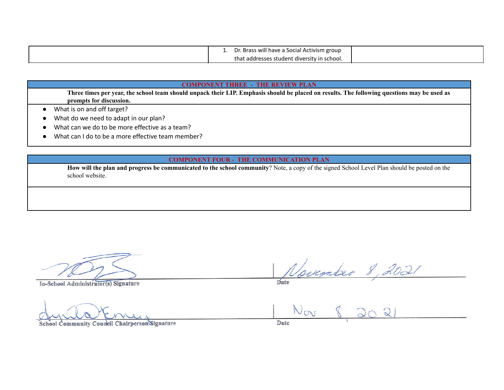|  | s will have a Social Activism group<br>-Bras.<br>. וש |  |
|--|-------------------------------------------------------|--|
|  | t addresses student diversity in school.<br>that      |  |

#### **COMPONENT THREE - THE REVIEW PLAN**

Three times per year, the school team should unpack their LIP. Emphasis should be placed on results. The following questions may be used as **prompts for discussion.**

- What is on and off target?
- What do we need to adapt in our plan?
- What can we do to be more effective as a team?
- What can I do to be a more effective team member?

### **COMPONENT FOUR - THE COMMUNICATION PLAN**

**How will the plan and progress be communicated to the school community**? Note, a copy of the signed School Level Plan should be posted on the school website.

**In-School Administrator(s) Signature Date**

In-School Administrator(s) Signature

**School Community Council Chairperson Signature Date**

Date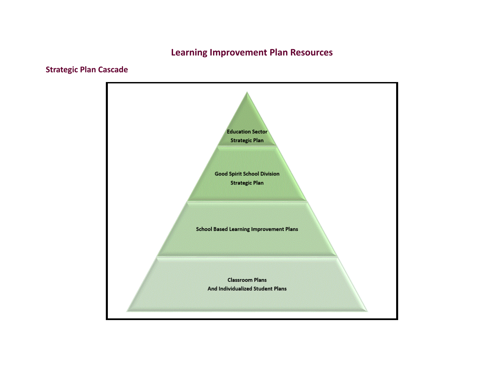# **Learning Improvement Plan Resources**

# **Strategic Plan Cascade**

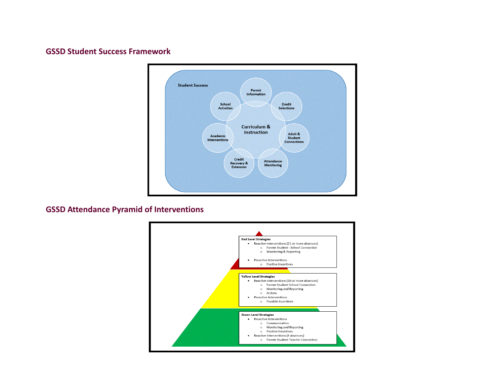## **GSSD Student Success Framework**



**GSSD Attendance Pyramid of Interventions**